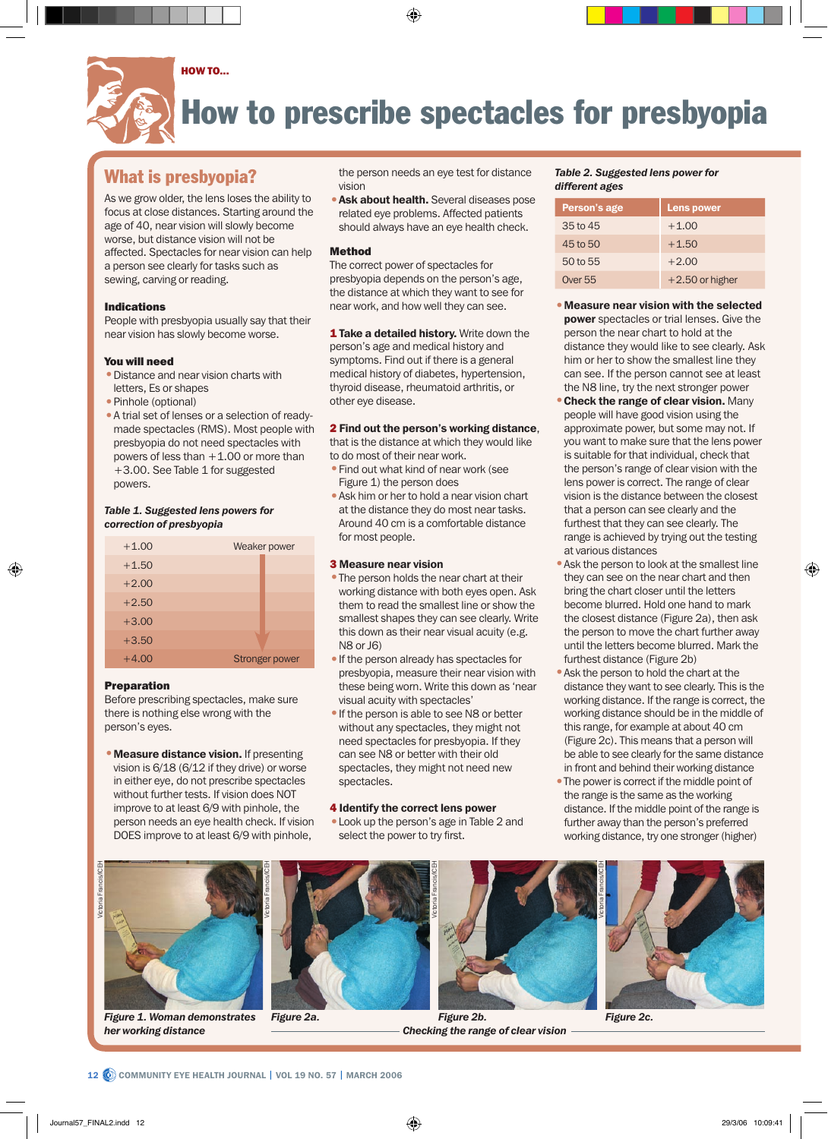

# How to prescribe spectacles for presbyopia

## What is presbyopia?

As we grow older, the lens loses the ability to focus at close distances. Starting around the age of 40, near vision will slowly become worse, but distance vision will not be affected. Spectacles for near vision can help a person see clearly for tasks such as sewing, carving or reading.

### Indications

People with presbyopia usually say that their near vision has slowly become worse.

#### You will need

- •Distance and near vision charts with letters, Es or shapes
- Pinhole (optional)
- •A trial set of lenses or a selection of readymade spectacles (RMS). Most people with presbyopia do not need spectacles with powers of less than  $+1.00$  or more than +3.00. See Table 1 for suggested powers.

#### *Table 1. Suggested lens powers for correction of presbyopia*

| $+1.00$ | Weaker power          |  |
|---------|-----------------------|--|
| $+1.50$ |                       |  |
| $+2.00$ |                       |  |
| $+2.50$ |                       |  |
| $+3.00$ |                       |  |
| $+3.50$ |                       |  |
| $+4.00$ | <b>Stronger power</b> |  |

#### Preparation

Before prescribing spectacles, make sure there is nothing else wrong with the person's eyes.

• Measure distance vision. If presenting vision is 6/18 (6/12 if they drive) or worse in either eye, do not prescribe spectacles without further tests. If vision does NOT improve to at least 6/9 with pinhole, the person needs an eye health check. If vision DOES improve to at least 6/9 with pinhole,

the person needs an eye test for distance vision

**• Ask about health.** Several diseases pose related eye problems. Affected patients should always have an eye health check.

#### Method

The correct power of spectacles for presbyopia depends on the person's age, the distance at which they want to see for near work, and how well they can see.

1 Take a detailed history. Write down the person's age and medical history and symptoms. Find out if there is a general medical history of diabetes, hypertension, thyroid disease, rheumatoid arthritis, or other eye disease.

#### 2 Find out the person's working distance,

that is the distance at which they would like to do most of their near work.

- •Find out what kind of near work (see Figure 1) the person does
- •Ask him or her to hold a near vision chart at the distance they do most near tasks. Around 40 cm is a comfortable distance for most people.

#### 3 Measure near vision

- The person holds the near chart at their working distance with both eyes open. Ask them to read the smallest line or show the smallest shapes they can see clearly. Write this down as their near visual acuity (e.g. N8 or J6)
- •If the person already has spectacles for presbyopia, measure their near vision with these being worn. Write this down as 'near visual acuity with spectacles'
- •If the person is able to see N8 or better without any spectacles, they might not need spectacles for presbyopia. If they can see N8 or better with their old spectacles, they might not need new spectacles.

#### 4 Identify the correct lens power

•Look up the person's age in Table 2 and select the power to try first.

#### *Table 2. Suggested lens power for different ages*

| Person's age   | <b>Lens power</b> |
|----------------|-------------------|
| 35 to 45       | $+1.00$           |
| 45 to 50       | $+1.50$           |
| 50 to 55       | $+2.00$           |
| <b>Over 55</b> | $+2.50$ or higher |

- •Measure near vision with the selected power spectacles or trial lenses. Give the person the near chart to hold at the distance they would like to see clearly. Ask him or her to show the smallest line they can see. If the person cannot see at least the N8 line, try the next stronger power
- Check the range of clear vision. Many people will have good vision using the approximate power, but some may not. If you want to make sure that the lens power is suitable for that individual, check that the person's range of clear vision with the lens power is correct. The range of clear vision is the distance between the closest that a person can see clearly and the furthest that they can see clearly. The range is achieved by trying out the testing at various distances
- •Ask the person to look at the smallest line they can see on the near chart and then bring the chart closer until the letters become blurred. Hold one hand to mark the closest distance (Figure 2a), then ask the person to move the chart further away until the letters become blurred. Mark the furthest distance (Figure 2b)
- •Ask the person to hold the chart at the distance they want to see clearly. This is the working distance. If the range is correct, the working distance should be in the middle of this range, for example at about 40 cm (Figure 2c). This means that a person will be able to see clearly for the same distance in front and behind their working distance
- The power is correct if the middle point of the range is the same as the working distance. If the middle point of the range is further away than the person's preferred working distance, try one stronger (higher)



*Figure 1. Woman demonstrates her working distance*





*Figure 2a. Figure 2b. Checking the range of clear vision*



*Figure 2c.*